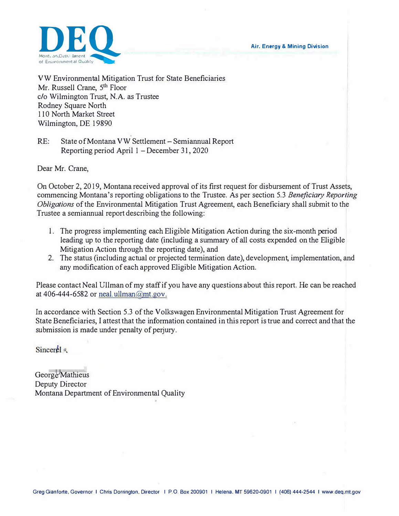**Air. Energy & Mining Division** 



VW Environmental Mitigation Trust for State Beneficiaries Mr. Russell Crane, 5<sup>th</sup> Floor c/o Wilmington Trust, N.A. as Trustee Rodney Square North 110 North Market Street Wilmington, DE 19890

RE: State of Montana VW Settlement – Semiannual Report Reporting period April 1 - December 31, 2020

Dear Mr. Crane,

On October 2, 2019, Montana received approval of its first request for disbursement of Trust Assets, commencing Montana's reporting obligations to the Trustee. As per section 5.3 *Beneficiary Reporting Obligations* of the Environmental Mitigation Trust Agreement, each Beneficiary shall submit to the Trustee a semiannual report describing the following:

- l. The progress implementing each Eligible Mitigation Action during the six-month period leading up to the reporting date (including a summary of all costs expended on the Eligible Mitigation Action through the reporting date), and
- 2. The status (including actual or projected termination date), development, implementation, and any modification of each approved Eligible Mitigation Action.

Please contact Neal Ullman of my staff if you have any questions about this report. He can be reached at 406-444-6582 or neal.ullman@mt.gov.

In accordance with Section 5.3 of the Volkswagen Environmental Mitigation Trust Agreement for State Beneficiaries, I attest that the information contained in this report is true and correct and that the submission is made under penalty of perjury.

Sincerel #

George Mathieus Deputy Director Montana Department of Environmental Quality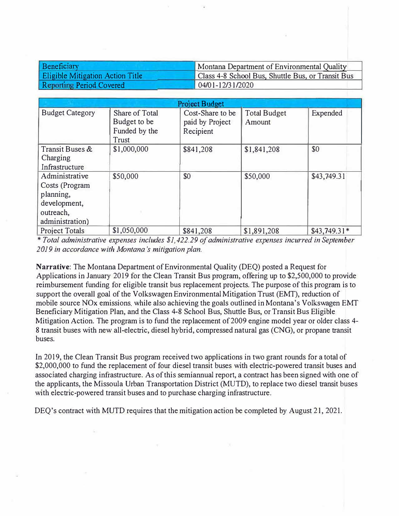| Beneficiary                             | Montana Department of Environmental Quality       |  |  |
|-----------------------------------------|---------------------------------------------------|--|--|
| <b>Eligible Mitigation Action Title</b> | Class 4-8 School Bus, Shuttle Bus, or Transit Bus |  |  |
| <b>Reporting Period Covered</b>         | $04/01 - 12/31/2020$                              |  |  |

|                                                                                               |                                                          | <b>Project Budget</b>                            |                               |               |
|-----------------------------------------------------------------------------------------------|----------------------------------------------------------|--------------------------------------------------|-------------------------------|---------------|
| <b>Budget Category</b>                                                                        | Share of Total<br>Budget to be<br>Funded by the<br>Trust | Cost-Share to be<br>paid by Project<br>Recipient | <b>Total Budget</b><br>Amount | Expended      |
| Transit Buses &<br>Charging<br>Infrastructure                                                 | \$1,000,000                                              | \$841,208                                        | \$1,841,208                   | \$0           |
| Administrative<br>Costs (Program<br>planning,<br>development,<br>outreach,<br>administration) | \$50,000                                                 | \$0                                              | \$50,000                      | \$43,749.31   |
| <b>Project Totals</b>                                                                         | \$1,050,000                                              | \$841,208                                        | \$1,891,208                   | $$43,749.31*$ |

\* *Total administrative expenses includes \$1,422.29 of administrative expenses incurred in September 2019 in accordance with Montana's mitigation plan.* 

**Narrative:** The Montana Department of Environmental Quality (DEQ) posted a Request for Applications in January 2019 for the Clean Transit Bus program, offering up to \$2,500,000 to provide reimbursement funding for eligible transit bus replacement projects. The purpose of this program is to support the overall goal of the Volkswagen Environmental Mitigation Trust (EMT), reduction of mobile source NO<sub>x</sub> emissions, while also achieving the goals outlined in Montana's Volkswagen EMT Beneficiary Mitigation Plan, and the Class 4-8 School Bus, Shuttle Bus, or Transit Bus Eligible Mitigation Action. The program is to fund the replacement of 2009 engine model year or older class 4- 8 transit buses with new all-electric, diesel hybrid, compressed natural gas (CNG), or propane transit buses.

In 2019, the Clean Transit Bus program received two applications in two grant rounds for a total of \$2,000,000 to fund the replacement of four diesel transit buses with electric-powered transit buses and associated charging infrastructure. As of this semiannual report, a contract has been signed with one of the applicants, the Missoula Urban Transportation District (MUTD), to replace two diesel transit buses with electric-powered transit buses and to purchase charging infrastructure.

DEO's contract with MUTD requires that the mitigation action be completed by August 21, 2021.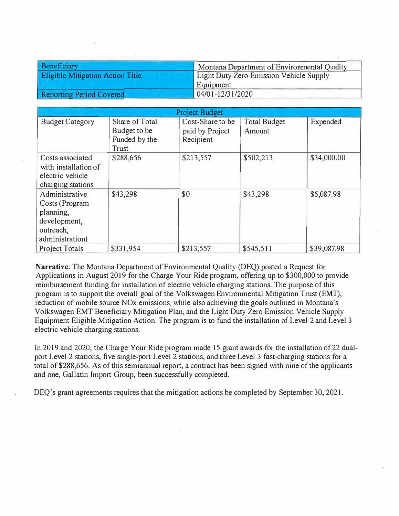| Beneficiary                             | Montana Department of Environmental Quality |  |  |
|-----------------------------------------|---------------------------------------------|--|--|
| <b>Eligible Mitigation Action Title</b> | Light Duty Zero Emission Vehicle Supply     |  |  |
|                                         | Equipment                                   |  |  |
| <b>Reporting Period Covered</b>         | 04/01-12/31/2020                            |  |  |

| <b>Project Budget</b>                                                                         |                                                          |                                                  |                               |             |
|-----------------------------------------------------------------------------------------------|----------------------------------------------------------|--------------------------------------------------|-------------------------------|-------------|
| <b>Budget Category</b>                                                                        | Share of Total<br>Budget to be<br>Funded by the<br>Trust | Cost-Share to be<br>paid by Project<br>Recipient | <b>Total Budget</b><br>Amount | Expended    |
| Costs associated<br>with installation of<br>electric vehicle<br>charging stations             | \$288,656                                                | \$213,557                                        | \$502,213                     | \$34,000.00 |
| Administrative<br>Costs (Program<br>planning,<br>development,<br>outreach,<br>administration) | \$43,298                                                 | \$0                                              | \$43,298                      | \$5,087.98  |
| <b>Project Totals</b>                                                                         | \$331,954                                                | \$213,557                                        | \$545,511                     | \$39,087.98 |

**Narrative:** The Montana Department of Environmental Quality (DEQ) posted a Request for Applications in August 2019 for the Charge Your Ride program, offering up to \$300,000 to provide reimbursement funding for installation of electric vehicle charging stations. The purpose of this program is to support the overall goal of the Volkswagen Environmental Mitigation Trust (EMT), reduction of mobile source NOx emissions. while also achieving the goals outlined in Montana's Volkswagen EMT Beneficiary Mitigation Plan, and the Light Duty Zero Emission Vehicle Supply Equipment Eligible Mitigation Action. The program is to fund the installation of Level 2 and Level 3 electric vehicle charging stations.

In 2019 and 2020, the Charge Your Ride program made 15 grant awards for the installation of 22 dualport Level 2 stations, five single-port Level 2 stations, and three Level 3 fast-charging stations for a total of \$288,656. As of this semiannual report, a contract has been signed with nine of the applicants and one, Gallatin Import Group, been successfully completed.

DEQ's grant agreements requires that the mitigation actions be completed by September 30, 2021.